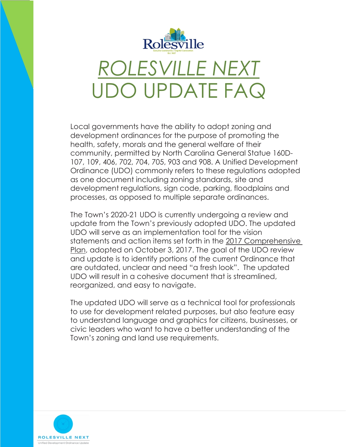

UDO UPDATE FAQ

Local governments have the ability to adopt zoning and development ordinances for the purpose of promoting the health, safety, morals and the general welfare of their community, permitted by North Carolina General Statue 160D-107, 109, 406, 702, 704, 705, 903 and 908. A Unified Development Ordinance (UDO) commonly refers to these regulations adopted as one document including zoning standards, site and development regulations, sign code, parking, floodplains and processes, as opposed to multiple separate ordinances.

The Town's 2020-21 UDO is currently undergoing a review and update from the Town's previously adopted UDO. The updated UDO will serve as an implementation tool for the vision statements and action items set forth in the 2017 Comprehensive Plan, adopted on October 3, 2017. The goal of the UDO review and update is to identify portions of the current Ordinance that are outdated, unclear and need "a fresh look". The updated UDO will result in a cohesive document that is streamlined, reorganized, and easy to navigate.

The updated UDO will serve as a technical tool for professionals to use for development related purposes, but also feature easy to understand language and graphics for citizens, businesses, or civic leaders who want to have a better understanding of the Town's zoning and land use requirements.

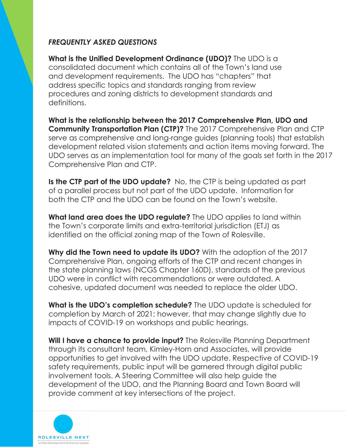## *FREQUENTLY ASKED QUESTIONS*

**What is the Unified Development Ordinance (UDO)?** The UDO is a consolidated document which contains all of the Town's land use and development requirements. The UDO has "chapters" that address specific topics and standards ranging from review procedures and zoning districts to development standards and definitions.

**What is the relationship between the 2017 Comprehensive Plan, UDO and Community Transportation Plan (CTP)?** The 2017 Comprehensive Plan and CTP serve as comprehensive and long-range guides (planning tools) that establish development related vision statements and action items moving forward. The UDO serves as an implementation tool for many of the goals set forth in the 2017 Comprehensive Plan and CTP.

**Is the CTP part of the UDO update?** No, the CTP is being updated as part of a parallel process but not part of the UDO update. Information for both the CTP and the UDO can be found on the Town's website.

**What land area does the UDO regulate?** The UDO applies to land within the Town's corporate limits and extra-territorial jurisdiction (ETJ) as identified on the official zoning map of the Town of Rolesville.

**Why did the Town need to update its UDO?** With the adoption of the 2017 Comprehensive Plan, ongoing efforts of the CTP and recent changes in the state planning laws (NCGS Chapter 160D), standards of the previous UDO were in conflict with recommendations or were outdated. A cohesive, updated document was needed to replace the older UDO.

**What is the UDO's completion schedule?** The UDO update is scheduled for completion by March of 2021; however, that may change slightly due to impacts of COVID-19 on workshops and public hearings.

**Will I have a chance to provide input?** The Rolesville Planning Department through its consultant team, Kimley-Horn and Associates, will provide opportunities to get involved with the UDO update. Respective of COVID-19 safety requirements, public input will be garnered through digital public involvement tools. A Steering Committee will also help guide the development of the UDO, and the Planning Board and Town Board will provide comment at key intersections of the project.